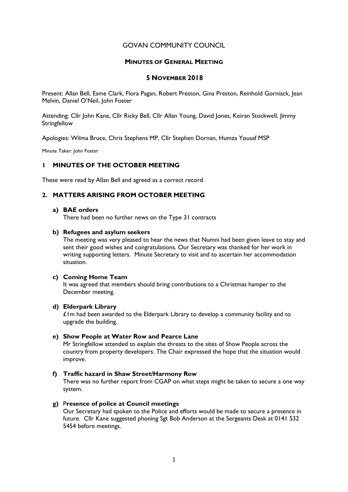# GOVAN COMMUNITY COUNCIL

## MINUTES OF GENERAL MEETING

### 5 NOVEMBER 2018

Present: Allan Bell, Esme Clark, Flora Pagan, Robert Preston, Gina Preston, Reinhold Gorniack, Jean Melvin, Daniel O'Neil, John Foster

Attending: Cllr John Kane, Cllr Ricky Bell, Cllr Allan Young, David Jones, Keiran Stockwell, Jimmy **Stringfellow** 

Apologies: Wilma Bruce, Chris Stephens MP, Cllr Stephen Dornan, Humza Yousaf MSP

Minute Taker: John Foster

# 1 MINUTES OF THE OCTOBER MEETING

These were read by Allan Bell and agreed as a correct record

# 2. MATTERS ARISING FROM OCTOBER MEETING

#### a) BAE orders

There had been no further news on the Type 31 contracts

#### b) Refugees and asylum seekers

The meeting was very pleased to hear the news that Numni had been given leave to stay and sent their good wishes and congratulations. Our Secretary was thanked for her work in writing supporting letters. Minute Secretary to visit and to ascertain her accommodation situation.

#### c) Coming Home Team

It was agreed that members should bring contributions to a Christmas hamper to the December meeting.

#### d) Elderpark Library

£1m had been awarded to the Elderpark Library to develop a community facility and to upgrade the building.

#### e) Show People at Water Row and Pearce Lane

Mr Stringfellow attended to explain the threats to the sites of Show People across the country from property developers. The Chair expressed the hope that the situation would improve.

#### f) Traffic hazard in Shaw Street/Harmony Row

There was no further report from CGAP on what steps might be taken to secure a one way system.

#### g) Presence of police at Council meetings

Our Secretary had spoken to the Police and efforts would be made to secure a presence in future. Cllr Kane suggested phoning Sgt Bob Anderson at the Sergeants Desk at 0141 532 5454 before meetings.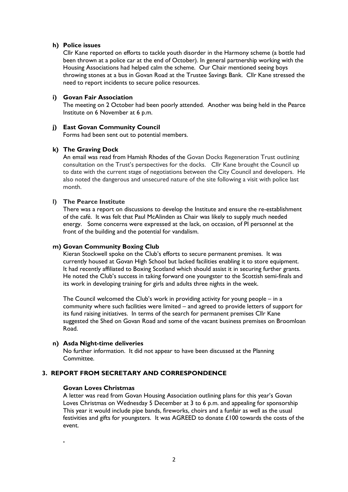### h) Police issues

Cllr Kane reported on efforts to tackle youth disorder in the Harmony scheme (a bottle had been thrown at a police car at the end of October). In general partnership working with the Housing Associations had helped calm the scheme. Our Chair mentioned seeing boys throwing stones at a bus in Govan Road at the Trustee Savings Bank. Cllr Kane stressed the need to report incidents to secure police resources.

### i) Govan Fair Association

The meeting on 2 October had been poorly attended. Another was being held in the Pearce Institute on 6 November at 6 p.m.

## j) East Govan Community Council

Forms had been sent out to potential members.

## k) The Graving Dock

An email was read from Hamish Rhodes of the Govan Docks Regeneration Trust outlining consultation on the Trust's perspectives for the docks. Cllr Kane brought the Council up to date with the current stage of negotiations between the City Council and developers. He also noted the dangerous and unsecured nature of the site following a visit with police last month.

## l) The Pearce Institute

There was a report on discussions to develop the Institute and ensure the re-establishment of the café. It was felt that Paul McAlinden as Chair was likely to supply much needed energy. Some concerns were expressed at the lack, on occasion, of PI personnel at the front of the building and the potential for vandalism.

#### m) Govan Community Boxing Club

Kieran Stockwell spoke on the Club's efforts to secure permanent premises. It was currently housed at Govan High School but lacked facilities enabling it to store equipment. It had recently affiliated to Boxing Scotland which should assist it in securing further grants. He noted the Club's success in taking forward one youngster to the Scottish semi-finals and its work in developing training for girls and adults three nights in the week.

The Council welcomed the Club's work in providing activity for young people – in a community where such facilities were limited – and agreed to provide letters of support for its fund raising initiatives. In terms of the search for permanent premises Cllr Kane suggested the Shed on Govan Road and some of the vacant business premises on Broomloan Road.

#### n) Asda Night-time deliveries

No further information. It did not appear to have been discussed at the Planning Committee.

# 3. REPORT FROM SECRETARY AND CORRESPONDENCE

#### Govan Loves Christmas

.

A letter was read from Govan Housing Association outlining plans for this year's Govan Loves Christmas on Wednesday 5 December at 3 to 6 p.m. and appealing for sponsorship This year it would include pipe bands, fireworks, choirs and a funfair as well as the usual festivities and gifts for youngsters. It was AGREED to donate £100 towards the costs of the event.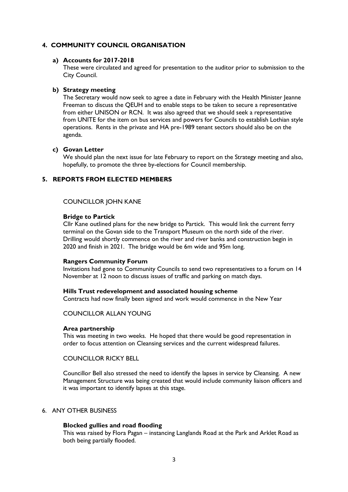# 4. COMMUNITY COUNCIL ORGANISATION

#### a) Accounts for 2017-2018

These were circulated and agreed for presentation to the auditor prior to submission to the City Council.

#### b) Strategy meeting

The Secretary would now seek to agree a date in February with the Health Minister Jeanne Freeman to discuss the QEUH and to enable steps to be taken to secure a representative from either UNISON or RCN. It was also agreed that we should seek a representative from UNITE for the item on bus services and powers for Councils to establish Lothian style operations. Rents in the private and HA pre-1989 tenant sectors should also be on the agenda.

#### c) Govan Letter

We should plan the next issue for late February to report on the Strategy meeting and also, hopefully, to promote the three by-elections for Council membership.

# 5. REPORTS FROM ELECTED MEMBERS

## COUNCILLOR JOHN KANE

#### Bridge to Partick

Cllr Kane outlined plans for the new bridge to Partick. This would link the current ferry terminal on the Govan side to the Transport Museum on the north side of the river. Drilling would shortly commence on the river and river banks and construction begin in 2020 and finish in 2021. The bridge would be 6m wide and 95m long.

#### Rangers Community Forum

Invitations had gone to Community Councils to send two representatives to a forum on 14 November at 12 noon to discuss issues of traffic and parking on match days.

#### Hills Trust redevelopment and associated housing scheme

Contracts had now finally been signed and work would commence in the New Year

#### COUNCILLOR ALLAN YOUNG

#### Area partnership

This was meeting in two weeks. He hoped that there would be good representation in order to focus attention on Cleansing services and the current widespread failures.

#### COUNCILLOR RICKY BELL

Councillor Bell also stressed the need to identify the lapses in service by Cleansing. A new Management Structure was being created that would include community liaison officers and it was important to identify lapses at this stage.

#### 6. ANY OTHER BUSINESS

#### Blocked gullies and road flooding

This was raised by Flora Pagan – instancing Langlands Road at the Park and Arklet Road as both being partially flooded.